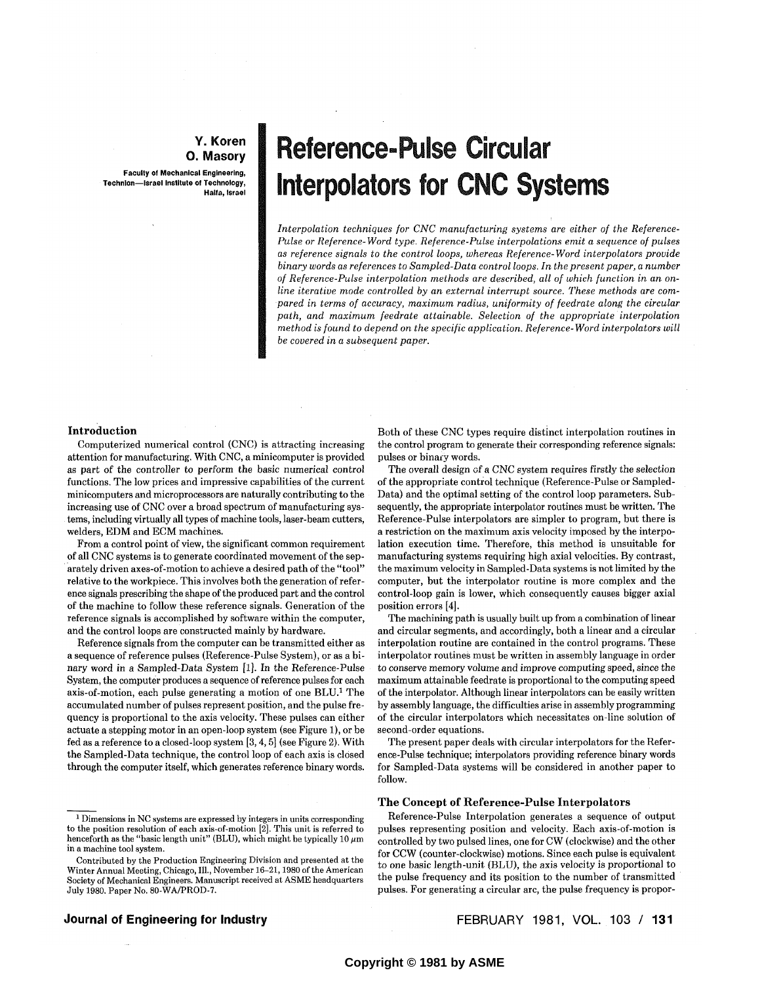### **Y. Koren Technlon—Israel Institute of Technology, O.** Masory

**Faculty of Mechanical Engineering,** Technion-Israel Institute of Technology, Halfa, Israel

# **Reference-Pulse Circular** Interpolators for CNC Systems *Pulse or Reference-Word type. Reference-Pulse interpolations emit a sequence of pulses*

 $R_{\rm eff}$  and  $R_{\rm eff}$  controls  $R_{\rm eff}$  and  $R_{\rm eff}$  and  $R_{\rm eff}$  and  $R_{\rm eff}$ 

Interpolation techniques for CNC manufacturing systems are either of the Reference-Pulse or Reference-Word type. Reference-Pulse interpolations emit a sequence of pulses as reference signals to the control loops, whereas Reference-Word interpolators provide *binary words as references to Sampled-Data control loops. In the present paper, a number* of Reference-Pulse interpolation methods are described, all of which function in an on*line iterative mode controlled by an external interrupt source. These methods are compared in terms of accuracy, maximum radius, uniformity of feedrate along the circular* path, and maximum feedrate attainable. Selection of the appropriate interpolation method is found to depend on the specific application. Reference-Word interpolators will be covered in a subsequent paper.

*as reference signals to the control loops, whereas Reference-Word interpolators provide* 

# **Introduction**

Computerized numerical control (CNC) is attracting increasing attention for manufacturing. With CNC, a minicomputer is provided as part of the controller to perform the basic numerical control functions. The low prices and impressive capabilities of the current minicomputers and microprocessors are naturally contributing to the increasing use of CNC over a broad spectrum of manufacturing systems, including virtually all types of machine tools, laser-beam cutters, welders. EDM and ECM machines.

 $C^{\infty}$  computerized numerical control (CNC) is attracting increasing increasing increasing increasing increasing increasing increasing increasing increasing increasing increasing increasing increasing increasing increas attention for manufacturing. With  $C$  minicipal  $\mathcal{M}$  minicomputer is provided in provided in provided in provided in  $\mathcal{M}$ 

From a control point of view, the significant common requirement of all CNC systems is to generate coordinated movement of the separately driven axes-of-motion to achieve a desired path of the "tool" relative to the workpiece. This involves both the generation of reference signals prescribing the shape of the produced part and the control of the machine to follow these reference signals. Generation of the reference signals is accomplished by software within the computer, and the control loops are constructed mainly by hardware.

Reference signals from the computer can be transmitted either as sequence of reference pulses (Reference-Pulse System), or as a binary word in a Sampled-Data System  $[1]$ . In the Reference-Pulse System, the computer produces a sequence of reference pulses for each axis-of-motion, each pulse generating a motion of one BLU.<sup>1</sup> The accumulated number of pulses represent position, and the pulse frequency is proportional to the axis velocity. These pulses can either actuate a stepping motor in an open-loop system (see Figure 1), or be fed as a reference to a closed-loop system  $[3, 4, 5]$  (see Figure 2). With the Sampled-Data technique, the control loop of each axis is closed through the computer itself, which generates reference binary words.

Both of these CNC types require distinct interpolation routines in the control program to generate their corresponding reference signals: pulses or binary words.

The overall design of a CNC system requires firstly the selection. of the appropriate control technique (Reference-Pulse or Sampled-Data) and the optimal setting of the control loop parameters. Subsequently, the appropriate interpolator routines must be written. The Reference-Pulse interpolators are simpler to program, but there is a restriction on the maximum axis velocity imposed by the interpolation execution time. Therefore, this method is unsuitable for manufacturing systems requiring high axial velocities. By contrast, the maximum velocity in Sampled-Data systems is not limited by the computer, but the interpolator routine is more complex and the control-loop gain is lower, which consequently causes bigger axial position errors [4].

The machining path is usually built up from a combination of linear and circular segments, and accordingly, both a linear and a circular interpolation routine are contained in the control programs. These interpolator routines must be written in assembly language in order to conserve memory volume and improve computing speed, since the maximum attainable feedrate is proportional to the computing speed of the interpolator. Although linear interpolators can be easily written by assembly language, the difficulties arise in assembly programming of the circular interpolators which necessitates on-line solution of second-order equations.

The present paper deals with circular interpolators for the Reference-Pulse technique; interpolators providing reference binary words for Sampled-Data systems will be considered in another paper to  $\mathbf{W}$ .

### pulses representing position and velocity. Each axis-of-motion is The Concept of Reference-Pulse Interpolators

Reference-Pulse Interpolation generates a sequence of output pulses representing position and velocity. Each axis-of-motion is controlled by two pulsed lines, one for CW (clockwise) and the other for CCW (counter-clockwise) motions. Since each pulse is equivalent to one basic length-unit (BLU), the axis velocity is proportional to Fract Transmitted Society of Mechanical Engineers. Manuscript received at ASME headquarters the pulse frequency and its position to the number of transmitted July 1980. Paper No. 80-WA/PROD-7.

# Journal of Engineering for Industry

FEBRUARY 1981, VOL. 103 / 131

 $^{\rm 1}$  Dimensions in NC systems are expressed by integers in units corresponding to the position resolution of each axis-of-motion  $[2]$ . This unit is referred to the position resolution or each axis-or-motion [4]. This unit is referred to<br>meet an the "begin langth unit" (RUI), which might be tunically 10 um  $\frac{1}{2}$  Society of Mechanical Engineers. Manuscript received at ASME headquarters. A manufactual at Mechanical at ASME headquarters.

in a machine tool system.<br>Contributed by the Production Engineering Division and presented at the Winter Annual Meeting, Chicago, Ill., November 16-21, 1980 of the American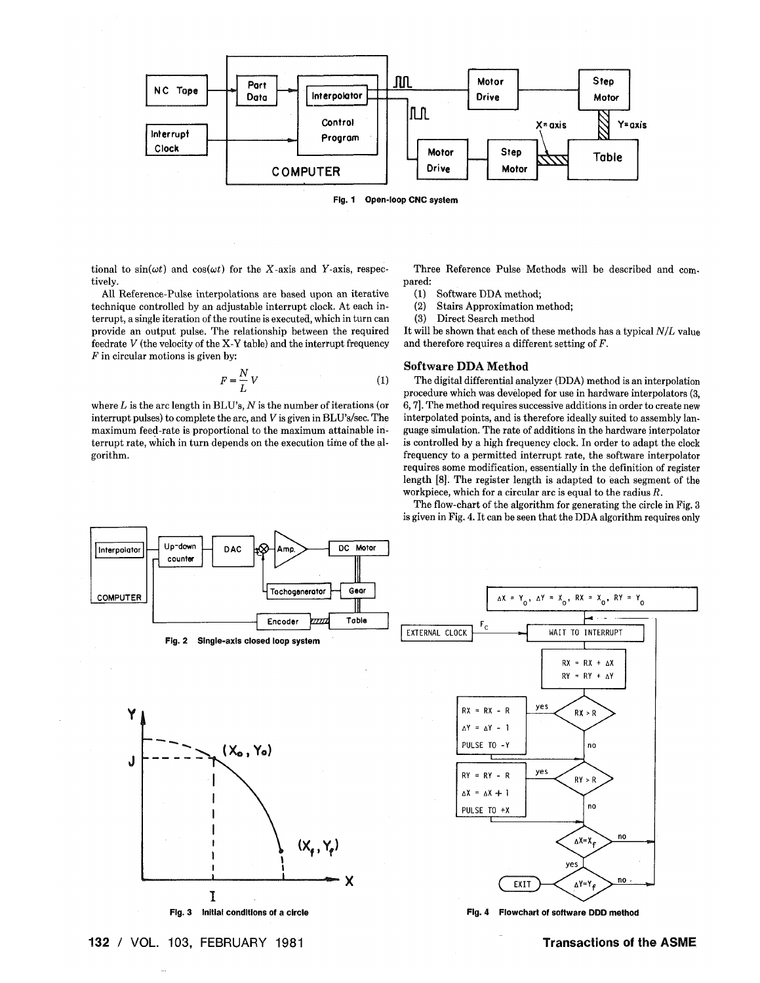



tional to  $sin(\omega t)$  and  $cos(\omega t)$  for the X-axis and Y-axis, respectively.

All Reference-Pulse interpolations are based upon an iterative technique controlled by an adjustable interrupt clock. At each interrupt, a single iteration of the routine is executed, which in turn can provide an output pulse. The relationship between the required feedrate V (the velocity of the X-Y table) and the interrupt frequency  $F$  in circular motions is given by:

$$
F = \frac{N}{L} V \tag{1}
$$

where  $L$  is the arc length in BLU's,  $N$  is the number of iterations (or interrupt pulses) to complete the arc, and V is given in BLU's/sec. The maximum feed-rate is proportional to the maximum attainable interrupt rate, which in turn depends on the execution time of the algorithm.



 $(1)$ Software DDA method;

 $(2)$ **Stairs Approximation method;** 

 $(3)$ Direct Search method

It will be shown that each of these methods has a typical  $N/L$  value and therefore requires a different setting of  $F$ .

# **Software DDA Method**

The digital differential analyzer (DDA) method is an interpolation procedure which was developed for use in hardware interpolators (3, 6, 7]. The method requires successive additions in order to create new interpolated points, and is therefore ideally suited to assembly language simulation. The rate of additions in the hardware interpolator is controlled by a high frequency clock. In order to adapt the clock frequency to a permitted interrupt rate, the software interpolator requires some modification, essentially in the definition of register length [8]. The register length is adapted to each segment of the workpiece, which for a circular arc is equal to the radius  $R$ .

The flow-chart of the algorithm for generating the circle in Fig. 3 is given in Fig. 4. It can be seen that the DDA algorithm requires only



132 / VOL. 103, FEBRUARY 1981

**Transactions of the ASME**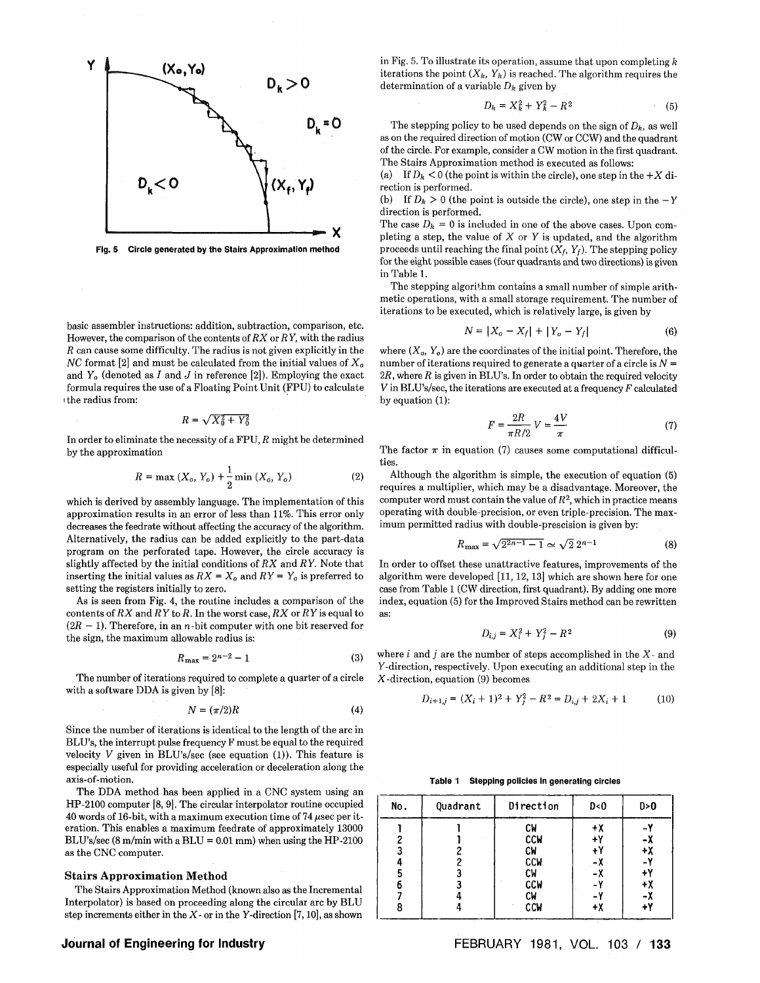

**Fig. 5 Circle generated by the Stairs Approximation method** 

basic assembler instructions: addition, subtraction, comparison, etc. However, the comparison of the contents of *RX* or *R Y,* with the radius *R* can cause some difficulty. The radius is not given explicitly in the ATC format [2] and must be calculated from the initial values of  $X<sub>o</sub>$ and  $Y_o$  (denoted as *I* and *J* in reference [2]). Employing the exact formula requires the use of a Floating Point Unit (FPU) to calculate i the radius from:

$$
R = \sqrt{X_0^2 + Y_0^2}
$$

In order to eliminate the necessity of a FPU, *R* might be determined by the approximation

$$
R = \max (X_o, Y_o) + \frac{1}{2} \min (X_o, Y_o)
$$
 (2)

which is derived by assembly language. The implementation of this approximation results in an error of less than 11%. This error only decreases the feedrate without affecting the accuracy of the algorithm. Alternatively, the radius can be added explicitly to the part-data program on the perforated tape. However, the circle accuracy is slightly affected by the initial conditions *ofRX* and *RY.* Note that inserting the initial values as  $RX = X_o$  and  $RY = Y_o$  is preferred to setting the registers initially to zero.

As is seen from Fig. 4, the routine includes a comparison of the contents of *RX* and *R Y* to *R.* In the worst case, *RX* or *R Y* is equal to  $(2R - 1)$ . Therefore, in an *n*-bit computer with one bit reserved for the sign, the maximum allowable radius is:

$$
R_{\text{max}} = 2^{n-2} - 1 \tag{3}
$$

The number of iterations required to complete a quarter of a circle with a software DDA is given by [8]:

$$
N = (\pi/2)R\tag{4}
$$

Since the number of iterations is identical to the length of the arc in BLU's, the interrupt pulse frequency F must be equal to the required velocity *V* given in BLU's/sec (see equation (1)). This feature is especially useful for providing acceleration or deceleration along the axis-of-niotion.

The DDA method has been applied in a CNC system using an HP-2100 computer [8, 9]. The circular interpolator routine occupied  $40$  words of 16-bit, with a maximum execution time of 74 usec per iteration. This enables a maximum feedrate of approximately 13000 BLU's/sec  $(8 \text{ m/min with a BLU} = 0.01 \text{ mm})$  when using the HP-2100 as the CNC computer.

# **Stair s Approximation Method**

The Stairs Approximation Method (known also as the Incremental Interpolator) is based on proceeding along the circular arc by BLU step increments either in the *X-* or in the Y-direction [7,10], as shown

in Fig. 5. To illustrate its operation, assume that upon completing *k*  iterations the point  $(X_k, Y_k)$  is reached. The algorithm requires the determination of a variable *Dk* given by

$$
D_k = X_k^2 + Y_k^2 - R^2 \tag{5}
$$

The stepping policy to be used depends on the sign of  $D_k$ , as well as on the required direction of motion (CW or CCW) and the quadrant of the circle. For example, consider a CW motion in the first quadrant. The Stairs Approximation method is executed as follows:

(a) If  $D_k < 0$  (the point is within the circle), one step in the  $+X$  direction is performed.

(b) If  $D_k > 0$  (the point is outside the circle), one step in the  $-Y$ direction is performed.

The case  $D_k = 0$  is included in one of the above cases. Upon completing a step, the value of *X* or *Y* is updated, and the algorithm proceeds until reaching the final point  $(X_f, Y_f)$ . The stepping policy for the eight possible cases (four quadrants and two directions) is given in Table 1.

The stepping algorithm contains a small number of simple arithmetic operations, with a small storage requirement. The number of iterations to be executed, which is relatively large, is given by

$$
N = |X_o - X_f| + |Y_o - Y_f| \tag{6}
$$

where  $(X_o, Y_o)$  are the coordinates of the initial point. Therefore, the number of iterations required to generate a quarter of a circle is *N = 2R,* where *R* is given in BLU's. In order to obtain the required velocity *V* in BLU's/sec, the iterations are executed at a frequency *F* calculated by equation (1):

$$
F = \frac{2R}{\pi R/2} V = \frac{4V}{\pi}
$$
 (7)

The factor  $\pi$  in equation (7) causes some computational difficulties

Although the algorithm is simple, the execution of equation (5) requires a multiplier, which may be a disadvantage. Moreover, the computer word must contain the value of  $R^2$ , which in practice means operating with double-precision, or even triple-precision. The maximum permitted radius with double-prescision is given by:

$$
R_{\text{max}} = \sqrt{2^{2n-1} - 1} \simeq \sqrt{2} \, 2^{n-1} \tag{8}
$$

In order to offset these unattractive features, improvements of the algorithm were developed [11, 12,13] which are shown here for one case from Table 1 (CW direction, first quadrant). By adding one more index, equation (5) for the Improved Stairs method can be rewritten as:

$$
D_{i,j} = X_i^2 + Y_j^2 - R^2 \tag{9}
$$

where *i* and *j* are the number of steps accomplished in the *X-* and Y-direction, respectively. Upon executing an additional step in the X-direction, equation (9) becomes

$$
D_{i+1,j} = (X_i + 1)^2 + Y_j^2 - R^2 = D_{i,j} + 2X_i + 1 \tag{10}
$$

**Table 1 Stepping policies in generating circles** 

| No.              | Quadrant | Direction                                                                    | D < 0                               | D>0                                                |
|------------------|----------|------------------------------------------------------------------------------|-------------------------------------|----------------------------------------------------|
| 3<br>5<br>6<br>8 |          | СW<br><b>CCM</b><br>СW<br><b>CCM</b><br>СW<br><b>CCM</b><br>СW<br><b>CCW</b> | $+X$<br>÷۲<br>+١<br>-Х<br>- 7<br>+Χ | $\mathbf{v}$<br>-х<br>+χ<br>$+Y$<br>+X<br>-х<br>÷٧ |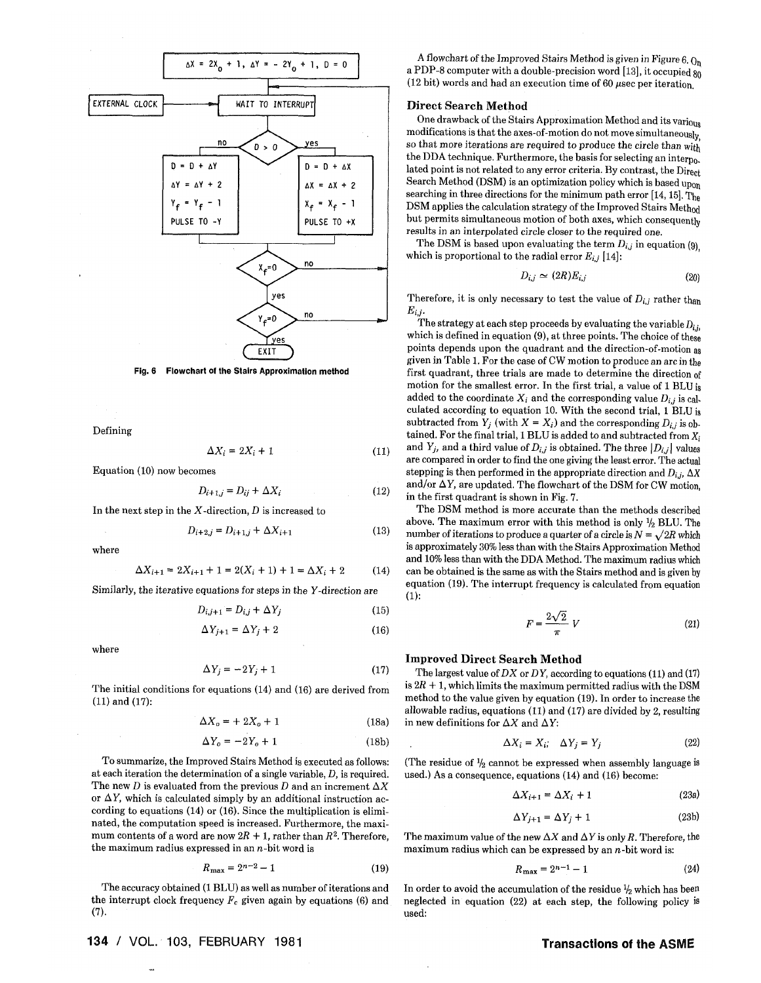

**Fig. 6 Flowchart of the Stairs Approximation method** 

Defining

$$
\Delta X_i = 2X_i + 1 \tag{11}
$$

Equation (10) now becomes

$$
D_{i+1,j} = D_{ij} + \Delta X_i \tag{12}
$$

In the next step in the X-direction, *D* is increased to

$$
D_{i+2,j} = D_{i+1,j} + \Delta X_{i+1}
$$
 (13)

where

$$
\Delta X_{i+1} = 2X_{i+1} + 1 = 2(X_i + 1) + 1 = \Delta X_i + 2 \tag{14}
$$

Similarly, the iterative equations for steps in the Y-direction are

$$
D_{i,j+1} = D_{i,j} + \Delta Y_j \tag{15}
$$

$$
\Delta Y_{j+1} = \Delta Y_j + 2 \tag{16}
$$

where

$$
\Delta Y_j = -2Y_j + 1\tag{17}
$$

The initial conditions for equations (14) and (16) are derived from (11) and (17):

$$
\Delta X_o = + 2X_o + 1 \tag{18a}
$$

$$
\Delta Y_o = -2Y_o + 1\tag{18b}
$$

To summarize, the Improved Stairs Method is executed as follows: at each iteration the determination of a single variable, *D,* is required. The new *D* is evaluated from the previous *D* and an increment  $\Delta X$ or  $\Delta Y$ , which is calculated simply by an additional instruction according to equations (14) or (16). Since the multiplication is eliminated, the computation speed is increased. Furthermore, the maximum contents of a word are now  $2R + 1$ , rather than  $R^2$ . Therefore, the maximum radius expressed in an  $n$ -bit word is

$$
R_{\text{max}} = 2^{n-2} - 1 \tag{19}
$$

The accuracy obtained (1 BLU) as well as number of iterations and the interrupt clock frequency *Fc* given again by equations (6) and (7).

134 / VOL. 103, FEBRUARY 1981 **Transactions of the ASME** 

A flowchart of the Improved Stairs Method is given in Figure 6.  $Q_h$ a PDP-8 computer with a double-precision word [13], it occupied  $80$ (12 bit) words and had an execution time of 60  $\mu$ sec per iteration.

### **Direct Search Method**

One drawback of the Stairs Approximation Method and its various modifications is that the axes-of-motion do not move simultaneously so that more iterations are required to produce the circle than with the DDA technique. Furthermore, the basis for selecting an interpo. lated point is not related to any error criteria. By contrast, the Direct Search Method (DSM) is an optimization policy which is based upon searching in three directions for the minimum path error  $[14, 15]$ , The DSM applies the calculation strategy of the Improved Stairs Method but permits simultaneous motion of both axes, which consequently results in an interpolated circle closer to the required one.

The DSM is based upon evaluating the term  $D_{i,j}$  in equation (9) which is proportional to the radial error  $E_{i,j}$  [14]:

$$
D_{i,j} \simeq (2R)E_{i,j} \tag{20}
$$

Therefore, it is only necessary to test the value of  $D_{i,j}$  rather than *Eij.* 

The strategy at each step proceeds by evaluating the variable  $D_{i,j}$ which is defined in equation (9), at three points. The choice of these which is defined in equation (9), at three points. The choice of these points depends upon the quadrant and the direction-of-motion as given in Table 1. For the case of CW motion to produce an arc in the first quadrant, three trials are made to determine the direction of motion for the smallest error. In the first trial, a value of 1 BLU i<sup>s</sup> added to the coordinate  $X_i$  and the corresponding value  $D_{i,j}$  is calculated according to equation 10. With the second trial, 1 BLU is subtracted from  $Y_i$  (with  $X = X_i$ ) and the corresponding  $D_{i,i}$  is obtained. For the final trial, 1 BLU is added to and subtracted from  $X_i$ and  $Y_j$ , and a third value of  $D_{i,j}$  is obtained. The three  $\left|D_{i,j}\right|$  values are compared in order to find the one giving the least error. The actual stepping is then performed in the appropriate direction and  $D_i$ ,  $\Delta X$ and/or  $\Delta Y$ , are updated. The flowchart of the DSM for CW motion, in the first quadrant is shown in Fig. 7.

The DSM method is more accurate than the methods described above. The maximum error with this method is only  $\frac{1}{2}$  BLU. The number of iterations to produce a quarter of a circle is  $N = \sqrt{2R}$  which is approximately 30% less than with the Stairs Approximation Method and 10% less than with the DDA Method. The maximum radius which can be obtained is the same as with the Stairs method and is given by equation (19). The interrupt frequency is calculated from equation (1):

$$
F = \frac{2\sqrt{2}}{\pi} V \tag{21}
$$

# **Improved Direct Search Method**

The largest value of *DX* or *DY,* according to equations (11) and (17) is  $2R + 1$ , which limits the maximum permitted radius with the DSM method to the value given by equation (19). In order to increase the allowable radius, equations (11) and (17) are divided by 2, resulting in new definitions for  $\Delta X$  and  $\Delta Y$ :

$$
\Delta X_i = X_i; \quad \Delta Y_j = Y_j \tag{22}
$$

(The residue of  $\frac{1}{2}$  cannot be expressed when assembly language is used.) As a consequence, equations (14) and (16) become:

$$
\Delta X_{i+1} = \Delta X_i + 1 \tag{23a}
$$

$$
\Delta Y_{j+1} = \Delta Y_j + 1 \tag{23b}
$$

The maximum value of the new  $\Delta X$  and  $\Delta Y$  is only R. Therefore, the maximum radius which can be expressed by an  $n$ -bit word is:

$$
R_{\text{max}} = 2^{n-1} - 1 \tag{24}
$$

In order to avoid the accumulation of the residue  $\frac{1}{2}$  which has been neglected in equation (22) at each step, the following policy is used: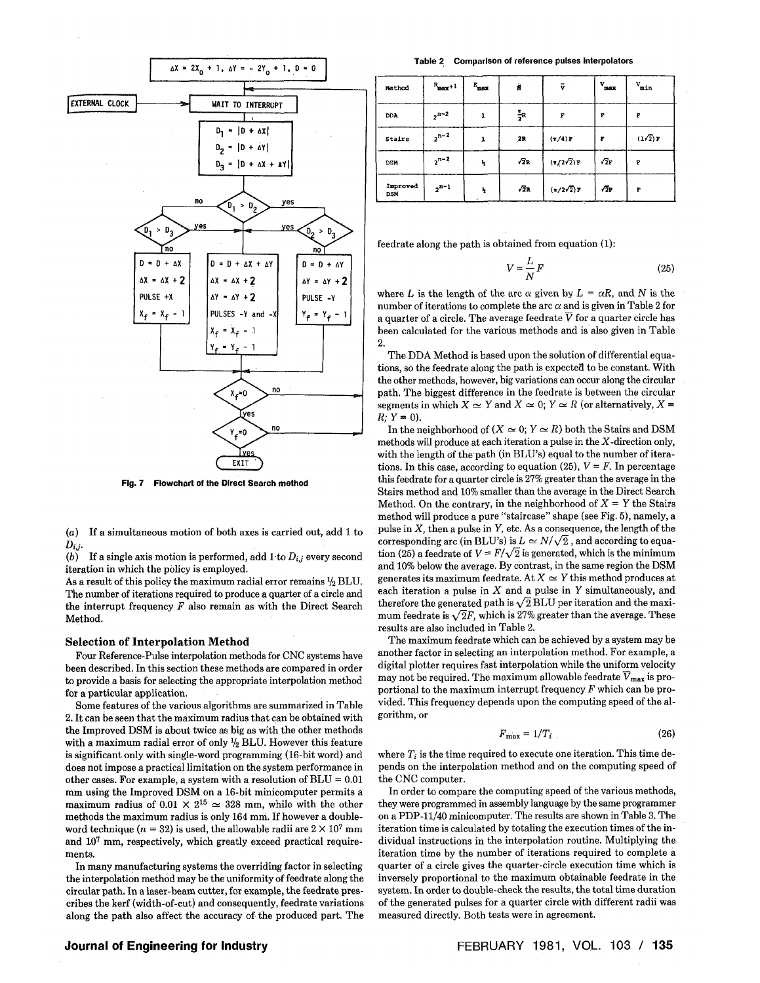

**Fig. 7 Flowchart of the Direct Search method** 

(a) If a simultaneous motion of both axes is carried out, add 1 to  $D_{i,j}$ .

(b) If a single axis motion is performed, add  $1$  to  $D_{i,j}$  every second iteration in which the policy is employed.

As a result of this policy the maximum radial error remains  $\frac{1}{2}$  BLU. The number of iterations required to produce a quarter of a circle and the interrupt frequency *F* also remain as with the Direct Search Method.

# **Selection of Interpolation Method**

Four Reference-Pulse interpolation methods for CNC systems have been described. In this section these methods are compared in order to provide a basis for selecting the appropriate interpolation method for a particular application.

Some features of the various algorithms are summarized in Table 2. It can be seen that the maximum radius that can be obtained with the Improved DSM is about twice as big as with the other methods with a maximum radial error of only *<sup>l</sup>k* BLU. However this feature is significant only with single-word programming (16-bit word) and does not impose a practical limitation on the system performance in other cases. For example, a system with a resolution of  $BLU = 0.01$ mm using the Improved DSM on a 16-bit minicomputer permits a maximum radius of  $0.01 \times 2^{15} \approx 328$  mm, while with the other methods the maximum radius is only 164 mm. If however a doubleword technique  $(n = 32)$  is used, the allowable radii are  $2 \times 10^7$  mm and 10<sup>7</sup> mm, respectively, which greatly exceed practical requirements.

In many manufacturing systems the overriding factor in selecting the interpolation method may be the uniformity of feedrate along the circular path. In a laser-beam cutter, for example, the feedrate prescribes the kerf (width-of-cut) and consequently, feedrate variations along the path also affect the accuracy of the produced part. The

Table 2 Comparison of reference pulses Interpolators

| Method                 | $R_{\text{max}}+1$ | $E_{\rm max}$ | Ń                | v                                 | $v_{\rm max}$ | $v_{min}$ |
|------------------------|--------------------|---------------|------------------|-----------------------------------|---------------|-----------|
| <b>DDA</b>             | $2^{n-2}$          |               | $\frac{\pi}{2}R$ | F                                 | F             | F         |
| Stairs                 | $2^{n-2}$          | 1             | 2R               | $(\pi/4)$ F                       | P             | (1/2)F    |
| <b>DSM</b>             | $2^{n-2}$          | ħ             | $\sqrt{2}R$      | $\langle \pi/2\sqrt{2} \rangle F$ | $\sqrt{2}$ F  | F         |
| Improved<br><b>DSM</b> | $2^{n-1}$          | ħ             | $\sqrt{2}R$      | $(\pi/2\sqrt{2})r$                | 72г           | F         |

feedrate along the path is obtained from equation (1):

$$
V = \frac{L}{N}F
$$
 (25)

where L is the length of the arc  $\alpha$  given by  $L = \alpha R$ , and N is the number of iterations to complete the arc  $\alpha$  and is given in Table 2 for a quarter of a circle. The average feedrate  $\overline{V}$  for a quarter circle has been calculated for the various methods and is also given in Table 2.

The DDA Method is based upon the solution of differential equations, so the feedrate along the path is expected to be constant. With the other methods, however, big variations can occur along the circular path. The biggest difference in the feedrate is between the circular segments in which  $X \simeq Y$  and  $X \simeq 0$ ;  $Y \simeq R$  (or alternatively,  $X =$  $R$ ;  $Y = 0$ ).

In the neighborhood of  $(X \simeq 0; Y \simeq R)$  both the Stairs and DSM methods will produce at each iteration a pulse in the  $X$ -direction only, with the length of the path (in BLU's) equal to the number of iterations. In this case, according to equation (25),  $V = F$ . In percentage this feedrate for a quarter circle is 27% greater than the average in the Stairs method and 10% smaller than the average in the Direct Search Method. On the contrary, in the neighborhood of  $X = Y$  the Stairs method will produce a pure "staircase" shape (see Fig. 5), namely, a pulse in  $X$ , then a pulse in  $Y$ , etc. As a consequence, the length of the corresponding arc (in BLU's) is  $L \simeq N/\sqrt{2}$ , and according to equation (25) a feedrate of  $V = F/\sqrt{2}$  is generated, which is the minimum and 10% below the average. By contrast, in the same region the DSM generates its maximum feedrate. At  $X \simeq Y$  this method produces at each iteration a pulse in *X* and a pulse in Y simultaneously, and therefore the generated path is  $\sqrt{2}$  BLU per iteration and the maximum feedrate is  $\sqrt{2}F$ , which is 27% greater than the average. These results are also included in Table 2.

The maximum feedrate which can be achieved by a system may be another factor in selecting an interpolation method. For example, a digital plotter requires fast interpolation while the uniform velocity may not be required. The maximum allowable feedrate  $\overline{V}_{\text{max}}$  is proportional to the maximum interrupt frequency *F* which can be provided. This frequency depends upon the computing speed of the algorithm, or

$$
F_{\text{max}} = 1/T_i \tag{26}
$$

where  $T_i$  is the time required to execute one iteration. This time depends on the interpolation method and on the computing speed of the CNC computer.

In order to compare the computing speed of the various methods, they were programmed in assembly language by the same programmer on a PDP-11/40 minicomputer. The results are shown in Table 3. The iteration time is calculated by totaling the execution times of the individual instructions in the interpolation routine. Multiplying the iteration time by the number of iterations required to complete a quarter of a circle gives the quarter-circle execution time which is inversely proportional to the maximum obtainable feedrate in the system. In order to double-check the results, the total time duration of the generated pulses for a quarter circle with different radii was measured directly. Both tests were in agreement.